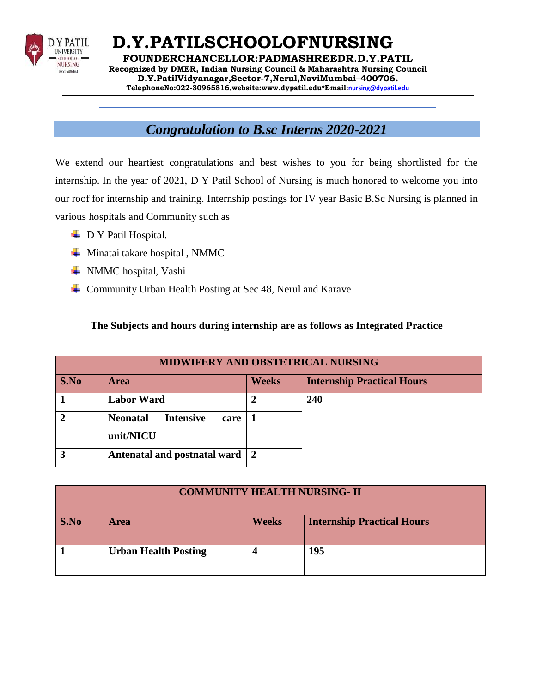

**D.Y.PATILSCHOOLOFNURSING FOUNDERCHANCELLOR:PADMASHREEDR.D.Y.PATIL Recognized by DMER, Indian Nursing Council & Maharashtra Nursing Council D.Y.PatilVidyanagar,Sector-7,Nerul,NaviMumbai–400706. TelephoneNo:022-30965816,website[:www.dypatil.edu\\*](http://www.dypatil.edu/)Email:[nursing@dypatil.edu](mailto:nursing@dypatil.edu)**

## *Congratulation to B.sc Interns 2020-2021*

We extend our heartiest congratulations and best wishes to you for being shortlisted for the internship. In the year of 2021, D Y Patil School of Nursing is much honored to welcome you into our roof for internship and training. Internship postings for IV year Basic B.Sc Nursing is planned in various hospitals and Community such as

- $\perp$  D Y Patil Hospital.
- $\blacktriangle$  Minatai takare hospital, NMMC
- **↓** NMMC hospital, Vashi
- **↓** Community Urban Health Posting at Sec 48, Nerul and Karave

#### **The Subjects and hours during internship are as follows as Integrated Practice**

| <b>MIDWIFERY AND OBSTETRICAL NURSING</b> |                                                          |              |                                   |
|------------------------------------------|----------------------------------------------------------|--------------|-----------------------------------|
| S.No                                     | <b>Area</b>                                              | <b>Weeks</b> | <b>Internship Practical Hours</b> |
|                                          | <b>Labor Ward</b>                                        |              | 240                               |
|                                          | <b>Neonatal</b><br><b>Intensive</b><br>care<br>unit/NICU |              |                                   |
|                                          | Antenatal and postnatal ward 2                           |              |                                   |

| <b>COMMUNITY HEALTH NURSING- II</b> |                             |              |                                   |
|-------------------------------------|-----------------------------|--------------|-----------------------------------|
| S.No                                | <b>Area</b>                 | <b>Weeks</b> | <b>Internship Practical Hours</b> |
|                                     | <b>Urban Health Posting</b> |              | 195                               |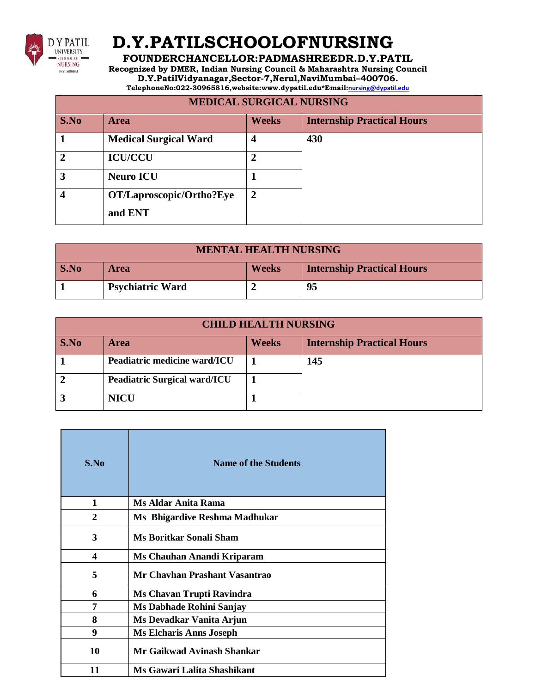

# **D.Y.PATILSCHOOLOFNURSING**

### **FOUNDERCHANCELLOR:PADMASHREEDR.D.Y.PATIL**

**Recognized by DMER, Indian Nursing Council & Maharashtra Nursing Council**

**D.Y.PatilVidyanagar,Sector-7,Nerul,NaviMumbai–400706.**

**TelephoneNo:022-30965816,website[:www.dypatil.edu\\*](http://www.dypatil.edu/)Email:[nursing@dypatil.edu](mailto:nursing@dypatil.edu)**

### **MEDICAL SURGICAL NURSING**

| S.No | <b>Area</b>                  | <b>Weeks</b>   | <b>Internship Practical Hours</b> |
|------|------------------------------|----------------|-----------------------------------|
|      | <b>Medical Surgical Ward</b> | 4              | 430                               |
| 7    | <b>ICU/CCU</b>               |                |                                   |
| 3    | <b>Neuro ICU</b>             |                |                                   |
|      | OT/Laproscopic/Ortho?Eye     | $\overline{2}$ |                                   |
|      | and ENT                      |                |                                   |

| <b>MENTAL HEALTH NURSING</b> |                         |              |                                   |
|------------------------------|-------------------------|--------------|-----------------------------------|
| $\mathbf{S}.\mathbf{No}$     | <b>Area</b>             | <b>Weeks</b> | <b>Internship Practical Hours</b> |
|                              | <b>Psychiatric Ward</b> |              | 95                                |

| <b>CHILD HEALTH NURSING</b> |                                     |              |                                   |
|-----------------------------|-------------------------------------|--------------|-----------------------------------|
| <b>S.No</b>                 | <b>Area</b>                         | <b>Weeks</b> | <b>Internship Practical Hours</b> |
|                             | Peadiatric medicine ward/ICU        |              | 145                               |
|                             | <b>Peadiatric Surgical ward/ICU</b> |              |                                   |
|                             | <b>NICU</b>                         |              |                                   |

| S.No | <b>Name of the Students</b>    |
|------|--------------------------------|
| 1    | Ms Aldar Anita Rama            |
| 2    | Ms Bhigardive Reshma Madhukar  |
| 3    | <b>Ms Boritkar Sonali Sham</b> |
| 4    | Ms Chauhan Anandi Kriparam     |
| 5    | Mr Chavhan Prashant Vasantrao  |
| 6    | Ms Chavan Trupti Ravindra      |
| 7    | Ms Dabhade Rohini Sanjay       |
| 8    | Ms Devadkar Vanita Arjun       |
| 9    | <b>Ms Elcharis Anns Joseph</b> |
| 10   | Mr Gaikwad Avinash Shankar     |
| 11   | Ms Gawari Lalita Shashikant    |